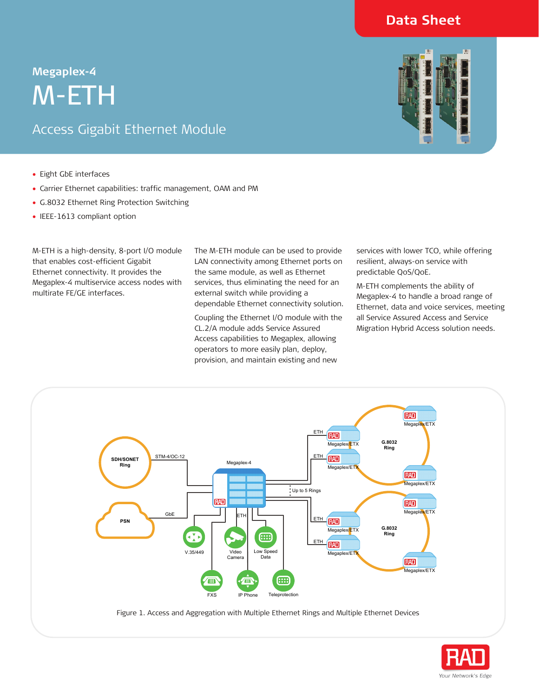# **Data Sheet**

# **Megaplex-4<br>
M-ET**<br>Access Gig M-ETH

# Access Gigabit Ethernet Module



- Eight GbE interfaces
- Carrier Ethernet capabilities: traffic management, OAM and PM
- G.8032 Ethernet Ring Protection Switching
- IEEE-1613 compliant option

M-ETH is a high-density, 8-port I/O module that enables cost-efficient Gigabit Ethernet connectivity. It provides the Megaplex-4 multiservice access nodes with multirate FE/GE interfaces.

The M-ETH module can be used to provide LAN connectivity among Ethernet ports on the same module, as well as Ethernet services, thus eliminating the need for an external switch while providing a dependable Ethernet connectivity solution.

Coupling the Ethernet I/O module with the CL.2/A module adds Service Assured Access capabilities to Megaplex, allowing operators to more easily plan, deploy, provision, and maintain existing and new

services with lower TCO, while offering resilient, always-on service with predictable QoS/QoE.

M-ETH complements the ability of Megaplex-4 to handle a broad range of Ethernet, data and voice services, meeting all Service Assured Access and Service Migration Hybrid Access solution needs.